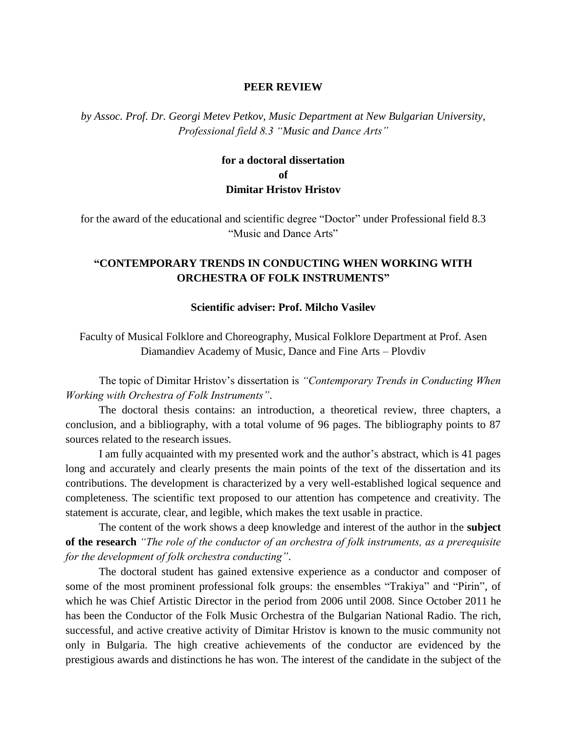#### **PEER REVIEW**

*by Assoc. Prof. Dr. Georgi Metev Petkov, Music Department at New Bulgarian University, Professional field 8.3 "Music and Dance Arts"*

## **for a doctoral dissertation of Dimitar Hristov Hristov**

for the award of the educational and scientific degree "Doctor" under Professional field 8.3 "Music and Dance Arts"

## **"CONTEMPORARY TRENDS IN CONDUCTING WHEN WORKING WITH ORCHESTRA OF FOLK INSTRUMENTS"**

#### **Scientific adviser: Prof. Milcho Vasilev**

Faculty of Musical Folklore and Choreography, Musical Folklore Department at Prof. Asen Diamandiev Academy of Music, Dance and Fine Arts – Plovdiv

The topic of Dimitar Hristov's dissertation is *"Contemporary Trends in Conducting When Working with Orchestra of Folk Instruments"*.

The doctoral thesis contains: an introduction, a theoretical review, three chapters, a conclusion, and a bibliography, with a total volume of 96 pages. The bibliography points to 87 sources related to the research issues.

I am fully acquainted with my presented work and the author's abstract, which is 41 pages long and accurately and clearly presents the main points of the text of the dissertation and its contributions. The development is characterized by a very well-established logical sequence and completeness. The scientific text proposed to our attention has competence and creativity. The statement is accurate, clear, and legible, which makes the text usable in practice.

The content of the work shows a deep knowledge and interest of the author in the **subject of the research** *"The role of the conductor of an orchestra of folk instruments, as a prerequisite for the development of folk orchestra conducting"*.

The doctoral student has gained extensive experience as a conductor and composer of some of the most prominent professional folk groups: the ensembles "Trakiya" and "Pirin", of which he was Chief Artistic Director in the period from 2006 until 2008. Since October 2011 he has been the Conductor of the Folk Music Orchestra of the Bulgarian National Radio. The rich, successful, and active creative activity of Dimitar Hristov is known to the music community not only in Bulgaria. The high creative achievements of the conductor are evidenced by the prestigious awards and distinctions he has won. The interest of the candidate in the subject of the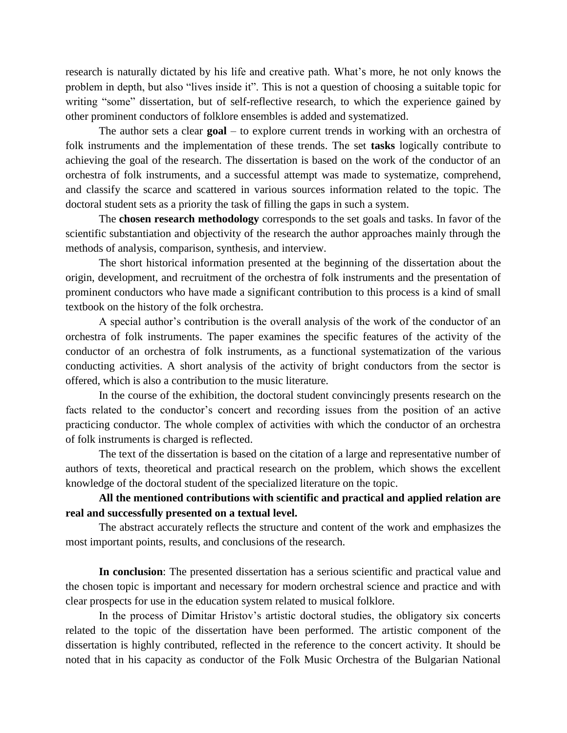research is naturally dictated by his life and creative path. What's more, he not only knows the problem in depth, but also "lives inside it". This is not a question of choosing a suitable topic for writing "some" dissertation, but of self-reflective research, to which the experience gained by other prominent conductors of folklore ensembles is added and systematized.

The author sets a clear **goal** – to explore current trends in working with an orchestra of folk instruments and the implementation of these trends. The set **tasks** logically contribute to achieving the goal of the research. The dissertation is based on the work of the conductor of an orchestra of folk instruments, and a successful attempt was made to systematize, comprehend, and classify the scarce and scattered in various sources information related to the topic. The doctoral student sets as a priority the task of filling the gaps in such a system.

The **chosen research methodology** corresponds to the set goals and tasks. In favor of the scientific substantiation and objectivity of the research the author approaches mainly through the methods of analysis, comparison, synthesis, and interview.

The short historical information presented at the beginning of the dissertation about the origin, development, and recruitment of the orchestra of folk instruments and the presentation of prominent conductors who have made a significant contribution to this process is a kind of small textbook on the history of the folk orchestra.

A special author's contribution is the overall analysis of the work of the conductor of an orchestra of folk instruments. The paper examines the specific features of the activity of the conductor of an orchestra of folk instruments, as a functional systematization of the various conducting activities. A short analysis of the activity of bright conductors from the sector is offered, which is also a contribution to the music literature.

In the course of the exhibition, the doctoral student convincingly presents research on the facts related to the conductor's concert and recording issues from the position of an active practicing conductor. The whole complex of activities with which the conductor of an orchestra of folk instruments is charged is reflected.

The text of the dissertation is based on the citation of a large and representative number of authors of texts, theoretical and practical research on the problem, which shows the excellent knowledge of the doctoral student of the specialized literature on the topic.

# **All the mentioned contributions with scientific and practical and applied relation are real and successfully presented on a textual level.**

The abstract accurately reflects the structure and content of the work and emphasizes the most important points, results, and conclusions of the research.

**In conclusion**: The presented dissertation has a serious scientific and practical value and the chosen topic is important and necessary for modern orchestral science and practice and with clear prospects for use in the education system related to musical folklore.

In the process of Dimitar Hristov's artistic doctoral studies, the obligatory six concerts related to the topic of the dissertation have been performed. The artistic component of the dissertation is highly contributed, reflected in the reference to the concert activity. It should be noted that in his capacity as conductor of the Folk Music Orchestra of the Bulgarian National